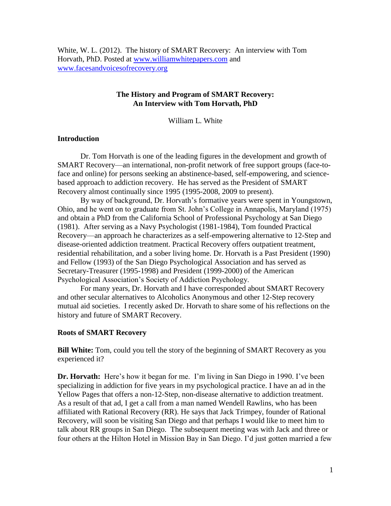White, W. L. (2012). The history of SMART Recovery: An interview with Tom Horvath, PhD. Posted at [www.williamwhitepapers.com](http://www.williamwhitepapers.com/) and [www.facesandvoicesofrecovery.org](http://www.facesandvoicesofrecovery.org/)

## **The History and Program of SMART Recovery: An Interview with Tom Horvath, PhD**

William L. White

## **Introduction**

Dr. Tom Horvath is one of the leading figures in the development and growth of SMART Recovery—an international, non-profit network of free support groups (face-toface and online) for persons seeking an abstinence-based, self-empowering, and sciencebased approach to addiction recovery. He has served as the President of [SMART](http://www.smartrecovery.org/)  [Recovery](http://www.smartrecovery.org/) almost continually since 1995 (1995-2008, 2009 to present).

By way of background, Dr. Horvath's formative years were spent in Youngstown, Ohio, and he went on to graduate from St. John's College in Annapolis, Maryland (1975) and obtain a PhD from the California School of Professional Psychology at San Diego (1981). After serving as a Navy Psychologist (1981-1984), Tom founded Practical Recovery—an approach he characterizes as a self-empowering alternative to 12-Step and disease-oriented addiction treatment. Practical Recovery offers outpatient treatment, residential rehabilitation, and a sober living home. Dr. Horvath is a Past President (1990) and Fellow (1993) of the [San Diego Psychological Association and has served as](http://www.sdpsych.org/)  Secretary-Treasurer (1995-1998) and President (1999-2000) of the American Psychological Association's Society of Addiction Psychology.

For many years, Dr. Horvath and I have corresponded about SMART Recovery and other secular alternatives to Alcoholics Anonymous and other 12-Step recovery mutual aid societies. I recently asked Dr. Horvath to share some of his reflections on the history and future of SMART Recovery.

### **Roots of SMART Recovery**

**Bill White:** Tom, could you tell the story of the beginning of SMART Recovery as you experienced it?

**Dr. Horvath:** Here's how it began for me. I'm living in San Diego in 1990. I've been specializing in addiction for five years in my psychological practice. I have an ad in the Yellow Pages that offers a non-12-Step, non-disease alternative to addiction treatment. As a result of that ad, I get a call from a man named Wendell Rawlins, who has been affiliated with Rational Recovery (RR). He says that Jack Trimpey, founder of Rational Recovery, will soon be visiting San Diego and that perhaps I would like to meet him to talk about RR groups in San Diego. The subsequent meeting was with Jack and three or four others at the Hilton Hotel in Mission Bay in San Diego. I'd just gotten married a few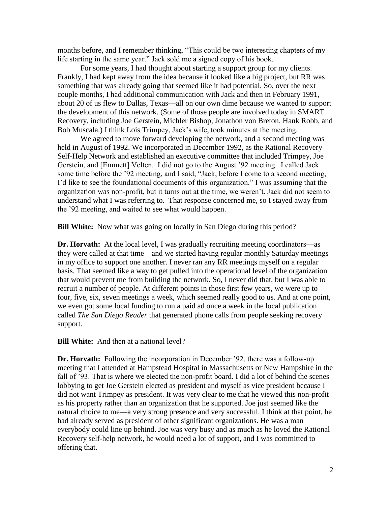months before, and I remember thinking, "This could be two interesting chapters of my life starting in the same year." Jack sold me a signed copy of his book.

For some years, I had thought about starting a support group for my clients. Frankly, I had kept away from the idea because it looked like a big project, but RR was something that was already going that seemed like it had potential. So, over the next couple months, I had additional communication with Jack and then in February 1991, about 20 of us flew to Dallas, Texas—all on our own dime because we wanted to support the development of this network. (Some of those people are involved today in SMART Recovery, including Joe Gerstein, Michler Bishop, Jonathon von Breton, Hank Robb, and Bob Muscala.) I think Lois Trimpey, Jack's wife, took minutes at the meeting.

We agreed to move forward developing the network, and a second meeting was held in August of 1992. We incorporated in December 1992, as the Rational Recovery Self-Help Network and established an executive committee that included Trimpey, Joe Gerstein, and [Emmett] Velten. I did not go to the August '92 meeting. I called Jack some time before the '92 meeting, and I said, "Jack, before I come to a second meeting, I'd like to see the foundational documents of this organization." I was assuming that the organization was non-profit, but it turns out at the time, we weren't. Jack did not seem to understand what I was referring to. That response concerned me, so I stayed away from the '92 meeting, and waited to see what would happen.

**Bill White:** Now what was going on locally in San Diego during this period?

**Dr. Horvath:** At the local level, I was gradually recruiting meeting coordinators—as they were called at that time—and we started having regular monthly Saturday meetings in my office to support one another. I never ran any RR meetings myself on a regular basis. That seemed like a way to get pulled into the operational level of the organization that would prevent me from building the network. So, I never did that, but I was able to recruit a number of people. At different points in those first few years, we were up to four, five, six, seven meetings a week, which seemed really good to us. And at one point, we even got some local funding to run a paid ad once a week in the local publication called *The San Diego Reader* that generated phone calls from people seeking recovery support.

**Bill White:** And then at a national level?

**Dr. Horvath:** Following the incorporation in December '92, there was a follow-up meeting that I attended at Hampstead Hospital in Massachusetts or New Hampshire in the fall of '93. That is where we elected the non-profit board. I did a lot of behind the scenes lobbying to get Joe Gerstein elected as president and myself as vice president because I did not want Trimpey as president. It was very clear to me that he viewed this non-profit as his property rather than an organization that he supported. Joe just seemed like the natural choice to me—a very strong presence and very successful. I think at that point, he had already served as president of other significant organizations. He was a man everybody could line up behind. Joe was very busy and as much as he loved the Rational Recovery self-help network, he would need a lot of support, and I was committed to offering that.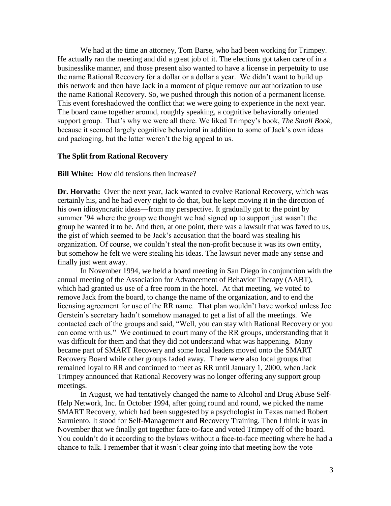We had at the time an attorney, Tom Barse, who had been working for Trimpey. He actually ran the meeting and did a great job of it. The elections got taken care of in a businesslike manner, and those present also wanted to have a license in perpetuity to use the name Rational Recovery for a dollar or a dollar a year. We didn't want to build up this network and then have Jack in a moment of pique remove our authorization to use the name Rational Recovery. So, we pushed through this notion of a permanent license. This event foreshadowed the conflict that we were going to experience in the next year. The board came together around, roughly speaking, a cognitive behaviorally oriented support group. That's why we were all there. We liked Trimpey's book, *The Small Book,* because it seemed largely cognitive behavioral in addition to some of Jack's own ideas and packaging, but the latter weren't the big appeal to us.

#### **The Split from Rational Recovery**

**Bill White:** How did tensions then increase?

**Dr. Horvath:** Over the next year, Jack wanted to evolve Rational Recovery, which was certainly his, and he had every right to do that, but he kept moving it in the direction of his own idiosyncratic ideas—from my perspective. It gradually got to the point by summer '94 where the group we thought we had signed up to support just wasn't the group he wanted it to be. And then, at one point, there was a lawsuit that was faxed to us, the gist of which seemed to be Jack's accusation that the board was stealing his organization. Of course, we couldn't steal the non-profit because it was its own entity, but somehow he felt we were stealing his ideas. The lawsuit never made any sense and finally just went away.

In November 1994, we held a board meeting in San Diego in conjunction with the annual meeting of the Association for Advancement of Behavior Therapy (AABT), which had granted us use of a free room in the hotel. At that meeting, we voted to remove Jack from the board, to change the name of the organization, and to end the licensing agreement for use of the RR name. That plan wouldn't have worked unless Joe Gerstein's secretary hadn't somehow managed to get a list of all the meetings. We contacted each of the groups and said, "Well, you can stay with Rational Recovery or you can come with us." We continued to court many of the RR groups, understanding that it was difficult for them and that they did not understand what was happening. Many became part of SMART Recovery and some local leaders moved onto the SMART Recovery Board while other groups faded away. There were also local groups that remained loyal to RR and continued to meet as RR until January 1, 2000, when Jack Trimpey announced that Rational Recovery was no longer offering any support group meetings.

In August, we had tentatively changed the name to Alcohol and Drug Abuse Self-Help Network, Inc. In October 1994, after going round and round, we picked the name SMART Recovery, which had been suggested by a psychologist in Texas named Robert Sarmiento. It stood for **S**elf-**M**anagement **a**nd **R**ecovery **T**raining. Then I think it was in November that we finally got together face-to-face and voted Trimpey off of the board. You couldn't do it according to the bylaws without a face-to-face meeting where he had a chance to talk. I remember that it wasn't clear going into that meeting how the vote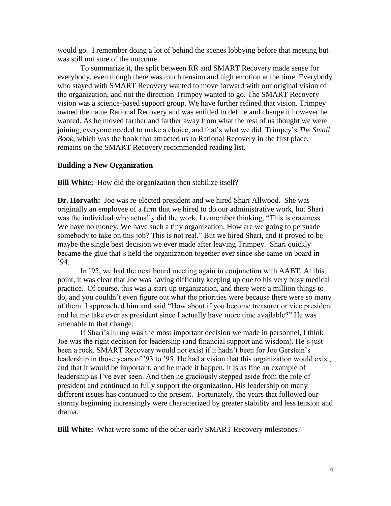would go. I remember doing a lot of behind the scenes lobbying before that meeting but was still not sure of the outcome.

To summarize it, the split between RR and SMART Recovery made sense for everybody, even though there was much tension and high emotion at the time. Everybody who stayed with SMART Recovery wanted to move forward with our original vision of the organization, and not the direction Trimpey wanted to go. The SMART Recovery vision was a science-based support group. We have further refined that vision. Trimpey owned the name Rational Recovery and was entitled to define and change it however he wanted. As he moved farther and farther away from what the rest of us thought we were joining, everyone needed to make a choice, and that's what we did. Trimpey's *The Small Book*, which was the book that attracted us to Rational Recovery in the first place, remains on the SMART Recovery recommended reading list.

## **Building a New Organization**

**Bill White:** How did the organization then stabilize itself?

**Dr. Horvath:** Joe was re-elected president and we hired Shari Allwood. She was originally an employee of a firm that we hired to do our administrative work, but Shari was the individual who actually did the work. I remember thinking, "This is craziness. We have no money. We have such a tiny organization. How are we going to persuade somebody to take on this job? This is not real." But we hired Shari, and it proved to be maybe the single best decision we ever made after leaving Trimpey. Shari quickly became the glue that's held the organization together ever since she came on board in '94.

In '95, we had the next board meeting again in conjunction with AABT. At this point, it was clear that Joe was having difficulty keeping up due to his very busy medical practice. Of course, this was a start-up organization, and there were a million things to do, and you couldn't even figure out what the priorities were because there were so many of them. I approached him and said "How about if you become treasurer or vice president and let me take over as president since I actually have more time available?" He was amenable to that change.

If Shari's hiring was the most important decision we made in personnel, I think Joe was the right decision for leadership (and financial support and wisdom). He's just been a rock. SMART Recovery would not exist if it hadn't been for Joe Gerstein's leadership in those years of '93 to '95. He had a vision that this organization would exist, and that it would be important, and he made it happen. It is as fine an example of leadership as I've ever seen. And then he graciously stepped aside from the role of president and continued to fully support the organization. His leadership on many different issues has continued to the present. Fortunately, the years that followed our stormy beginning increasingly were characterized by greater stability and less tension and drama.

**Bill White:** What were some of the other early SMART Recovery milestones?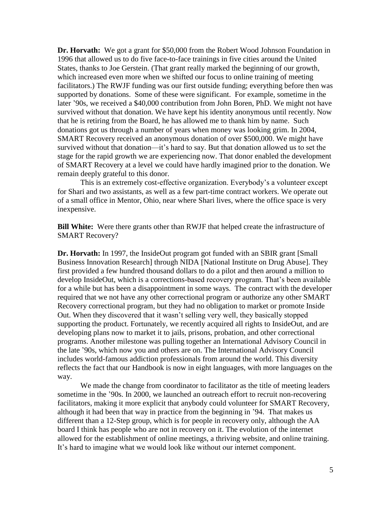**Dr. Horvath:** We got a grant for \$50,000 from the Robert Wood Johnson Foundation in 1996 that allowed us to do five face-to-face trainings in five cities around the United States, thanks to Joe Gerstein. (That grant really marked the beginning of our growth, which increased even more when we shifted our focus to online training of meeting facilitators.) The RWJF funding was our first outside funding; everything before then was supported by donations. Some of these were significant. For example, sometime in the later '90s, we received a \$40,000 contribution from John Boren, PhD. We might not have survived without that donation. We have kept his identity anonymous until recently. Now that he is retiring from the Board, he has allowed me to thank him by name. Such donations got us through a number of years when money was looking grim. In 2004, SMART Recovery received an anonymous donation of over \$500,000. We might have survived without that donation—it's hard to say. But that donation allowed us to set the stage for the rapid growth we are experiencing now. That donor enabled the development of SMART Recovery at a level we could have hardly imagined prior to the donation. We remain deeply grateful to this donor.

This is an extremely cost-effective organization. Everybody's a volunteer except for Shari and two assistants, as well as a few part-time contract workers. We operate out of a small office in Mentor, Ohio, near where Shari lives, where the office space is very inexpensive.

**Bill White:** Were there grants other than RWJF that helped create the infrastructure of SMART Recovery?

**Dr. Horvath:** In 1997, the InsideOut program got funded with an SBIR grant [Small Business Innovation Research] through NIDA [National Institute on Drug Abuse]. They first provided a few hundred thousand dollars to do a pilot and then around a million to develop InsideOut, which is a corrections-based recovery program. That's been available for a while but has been a disappointment in some ways. The contract with the developer required that we not have any other correctional program or authorize any other SMART Recovery correctional program, but they had no obligation to market or promote Inside Out. When they discovered that it wasn't selling very well, they basically stopped supporting the product. Fortunately, we recently acquired all rights to InsideOut, and are developing plans now to market it to jails, prisons, probation, and other correctional programs. Another milestone was pulling together an International Advisory Council in the late '90s, which now you and others are on. The International Advisory Council includes world-famous addiction professionals from around the world. This diversity reflects the fact that our Handbook is now in eight languages, with more languages on the way.

We made the change from coordinator to facilitator as the title of meeting leaders sometime in the '90s. In 2000, we launched an outreach effort to recruit non-recovering facilitators, making it more explicit that anybody could volunteer for SMART Recovery, although it had been that way in practice from the beginning in '94. That makes us different than a 12-Step group, which is for people in recovery only, although the AA board I think has people who are not in recovery on it. The evolution of the internet allowed for the establishment of online meetings, a thriving website, and online training. It's hard to imagine what we would look like without our internet component.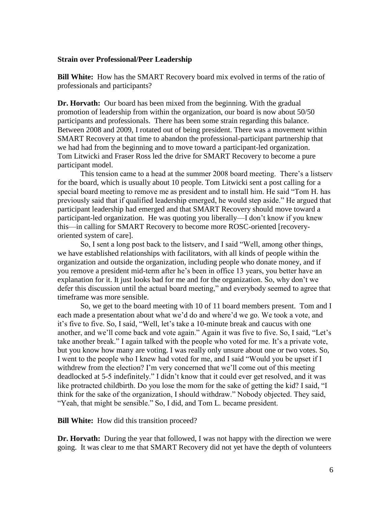#### **Strain over Professional/Peer Leadership**

**Bill White:** How has the SMART Recovery board mix evolved in terms of the ratio of professionals and participants?

**Dr. Horvath:** Our board has been mixed from the beginning. With the gradual promotion of leadership from within the organization, our board is now about 50/50 participants and professionals. There has been some strain regarding this balance. Between 2008 and 2009, I rotated out of being president. There was a movement within SMART Recovery at that time to abandon the professional-participant partnership that we had had from the beginning and to move toward a participant-led organization. Tom Litwicki and Fraser Ross led the drive for SMART Recovery to become a pure participant model.

This tension came to a head at the summer 2008 board meeting. There's a listserv for the board, which is usually about 10 people. Tom Litwicki sent a post calling for a special board meeting to remove me as president and to install him. He said "Tom H. has previously said that if qualified leadership emerged, he would step aside." He argued that participant leadership had emerged and that SMART Recovery should move toward a participant-led organization. He was quoting you liberally—I don't know if you knew this—in calling for SMART Recovery to become more ROSC-oriented [recoveryoriented system of care].

So, I sent a long post back to the listserv, and I said "Well, among other things, we have established relationships with facilitators, with all kinds of people within the organization and outside the organization, including people who donate money, and if you remove a president mid-term after he's been in office 13 years, you better have an explanation for it. It just looks bad for me and for the organization. So, why don't we defer this discussion until the actual board meeting," and everybody seemed to agree that timeframe was more sensible.

So, we get to the board meeting with 10 of 11 board members present. Tom and I each made a presentation about what we'd do and where'd we go. We took a vote, and it's five to five. So, I said, "Well, let's take a 10-minute break and caucus with one another, and we'll come back and vote again." Again it was five to five. So, I said, "Let's take another break." I again talked with the people who voted for me. It's a private vote, but you know how many are voting. I was really only unsure about one or two votes. So, I went to the people who I knew had voted for me, and I said "Would you be upset if I withdrew from the election? I'm very concerned that we'll come out of this meeting deadlocked at 5-5 indefinitely." I didn't know that it could ever get resolved, and it was like protracted childbirth. Do you lose the mom for the sake of getting the kid? I said, "I think for the sake of the organization, I should withdraw." Nobody objected. They said, "Yeah, that might be sensible." So, I did, and Tom L. became president.

**Bill White:** How did this transition proceed?

**Dr. Horvath:** During the year that followed, I was not happy with the direction we were going. It was clear to me that SMART Recovery did not yet have the depth of volunteers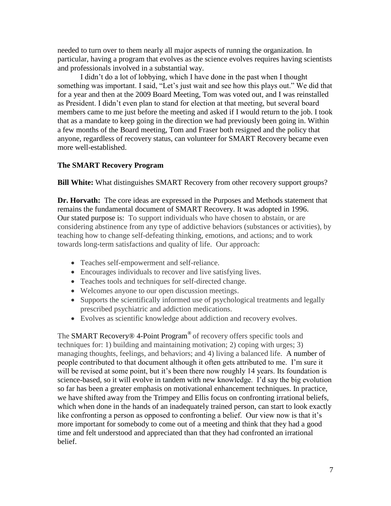needed to turn over to them nearly all major aspects of running the organization. In particular, having a program that evolves as the science evolves requires having scientists and professionals involved in a substantial way.

I didn't do a lot of lobbying, which I have done in the past when I thought something was important. I said, "Let's just wait and see how this plays out." We did that for a year and then at the 2009 Board Meeting, Tom was voted out, and I was reinstalled as President. I didn't even plan to stand for election at that meeting, but several board members came to me just before the meeting and asked if I would return to the job. I took that as a mandate to keep going in the direction we had previously been going in. Within a few months of the Board meeting, Tom and Fraser both resigned and the policy that anyone, regardless of recovery status, can volunteer for SMART Recovery became even more well-established.

# **The SMART Recovery Program**

**Bill White:** What distinguishes SMART Recovery from other recovery support groups?

**Dr. Horvath:** The core ideas are expressed in the Purposes and Methods statement that remains the fundamental document of SMART Recovery. It was adopted in 1996. Our stated purpose is: To support individuals who have chosen to abstain, or are considering abstinence from any type of addictive behaviors (substances or activities), by teaching how to change self-defeating thinking, emotions, and actions; and to work towards long-term satisfactions and quality of life. Our approach:

- Teaches self-empowerment and self-reliance.
- Encourages individuals to recover and live satisfying lives.
- Teaches tools and techniques for self-directed change.
- Welcomes anyone to our open discussion meetings.
- Supports the scientifically informed use of psychological treatments and legally prescribed psychiatric and addiction medications.
- Evolves as scientific knowledge about addiction and recovery evolves.

The **SMART** Recovery<sup>®</sup> 4-Point Program<sup>®</sup> of recovery offers specific tools and techniques for: 1) building and maintaining motivation; 2) coping with urges; 3) managing thoughts, feelings, and behaviors; and 4) living a balanced life. A number of people contributed to that document although it often gets attributed to me. I'm sure it will be revised at some point, but it's been there now roughly 14 years. Its foundation is science-based, so it will evolve in tandem with new knowledge. I'd say the big evolution so far has been a greater emphasis on motivational enhancement techniques. In practice, we have shifted away from the Trimpey and Ellis focus on confronting irrational beliefs, which when done in the hands of an inadequately trained person, can start to look exactly like confronting a person as opposed to confronting a belief. Our view now is that it's more important for somebody to come out of a meeting and think that they had a good time and felt understood and appreciated than that they had confronted an irrational belief.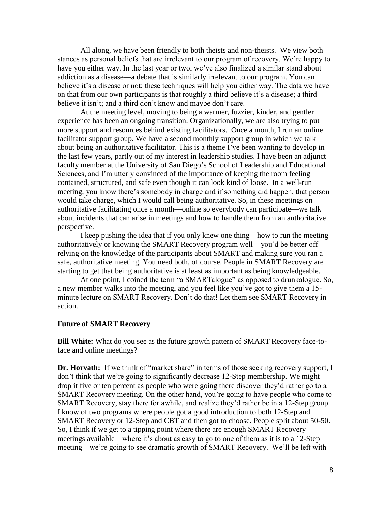All along, we have been friendly to both theists and non-theists. We view both stances as personal beliefs that are irrelevant to our program of recovery. We're happy to have you either way. In the last year or two, we've also finalized a similar stand about addiction as a disease—a debate that is similarly irrelevant to our program. You can believe it's a disease or not; these techniques will help you either way. The data we have on that from our own participants is that roughly a third believe it's a disease; a third believe it isn't; and a third don't know and maybe don't care.

At the meeting level, moving to being a warmer, fuzzier, kinder, and gentler experience has been an ongoing transition. Organizationally, we are also trying to put more support and resources behind existing facilitators. Once a month, I run an online facilitator support group. We have a second monthly support group in which we talk about being an authoritative facilitator. This is a theme I've been wanting to develop in the last few years, partly out of my interest in leadership studies. I have been an adjunct faculty member at the University of San Diego's School of Leadership and Educational Sciences, and I'm utterly convinced of the importance of keeping the room feeling contained, structured, and safe even though it can look kind of loose. In a well-run meeting, you know there's somebody in charge and if something did happen, that person would take charge, which I would call being authoritative. So, in these meetings on authoritative facilitating once a month—online so everybody can participate—we talk about incidents that can arise in meetings and how to handle them from an authoritative perspective.

I keep pushing the idea that if you only knew one thing—how to run the meeting authoritatively or knowing the SMART Recovery program well—you'd be better off relying on the knowledge of the participants about SMART and making sure you ran a safe, authoritative meeting. You need both, of course. People in SMART Recovery are starting to get that being authoritative is at least as important as being knowledgeable.

At one point, I coined the term "a SMARTalogue" as opposed to drunkalogue. So, a new member walks into the meeting, and you feel like you've got to give them a 15 minute lecture on SMART Recovery. Don't do that! Let them see SMART Recovery in action.

#### **Future of SMART Recovery**

**Bill White:** What do you see as the future growth pattern of SMART Recovery face-toface and online meetings?

**Dr. Horvath:** If we think of "market share" in terms of those seeking recovery support, I don't think that we're going to significantly decrease 12-Step membership. We might drop it five or ten percent as people who were going there discover they'd rather go to a SMART Recovery meeting. On the other hand, you're going to have people who come to SMART Recovery, stay there for awhile, and realize they'd rather be in a 12-Step group. I know of two programs where people got a good introduction to both 12-Step and SMART Recovery or 12-Step and CBT and then got to choose. People split about 50-50. So, I think if we get to a tipping point where there are enough SMART Recovery meetings available—where it's about as easy to go to one of them as it is to a 12-Step meeting—we're going to see dramatic growth of SMART Recovery. We'll be left with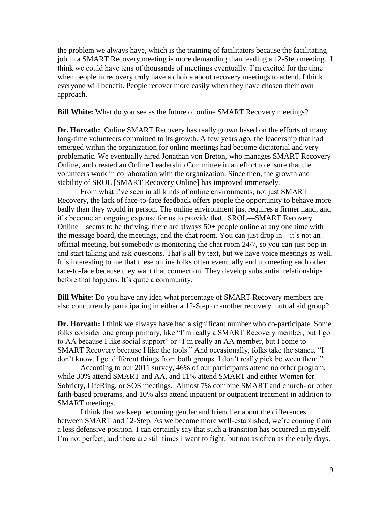the problem we always have, which is the training of facilitators because the facilitating job in a SMART Recovery meeting is more demanding than leading a 12-Step meeting. I think we could have tens of thousands of meetings eventually. I'm excited for the time when people in recovery truly have a choice about recovery meetings to attend. I think everyone will benefit. People recover more easily when they have chosen their own approach.

**Bill White:** What do you see as the future of online SMART Recovery meetings?

**Dr. Horvath:** Online SMART Recovery has really grown based on the efforts of many long-time volunteers committed to its growth. A few years ago, the leadership that had emerged within the organization for online meetings had become dictatorial and very problematic. We eventually hired Jonathan von Breton, who manages SMART Recovery Online, and created an Online Leadership Committee in an effort to ensure that the volunteers work in collaboration with the organization. Since then, the growth and stability of SROL [SMART Recovery Online] has improved immensely.

From what I've seen in all kinds of online environments, not just SMART Recovery, the lack of face-to-face feedback offers people the opportunity to behave more badly than they would in person. The online environment just requires a firmer hand, and it's become an ongoing expense for us to provide that. SROL—SMART Recovery Online—seems to be thriving; there are always 50+ people online at any one time with the message board, the meetings, and the chat room. You can just drop in—it's not an official meeting, but somebody is monitoring the chat room 24/7, so you can just pop in and start talking and ask questions. That's all by text, but we have voice meetings as well. It is interesting to me that these online folks often eventually end up meeting each other face-to-face because they want that connection. They develop substantial relationships before that happens. It's quite a community.

**Bill White:** Do you have any idea what percentage of SMART Recovery members are also concurrently participating in either a 12-Step or another recovery mutual aid group?

**Dr. Horvath:** I think we always have had a significant number who co-participate. Some folks consider one group primary, like "I'm really a SMART Recovery member, but I go to AA because I like social support" or "I'm really an AA member, but I come to SMART Recovery because I like the tools." And occasionally, folks take the stance, "I don't know. I get different things from both groups. I don't really pick between them."

According to our 2011 survey, 46% of our participants attend no other program, while 30% attend SMART and AA, and 11% attend SMART and either Women for Sobriety, LifeRing, or SOS meetings. Almost 7% combine SMART and church- or other faith-based programs, and 10% also attend inpatient or outpatient treatment in addition to SMART meetings.

I think that we keep becoming gentler and friendlier about the differences between SMART and 12-Step. As we become more well-established, we're coming from a less defensive position. I can certainly say that such a transition has occurred in myself. I'm not perfect, and there are still times I want to fight, but not as often as the early days.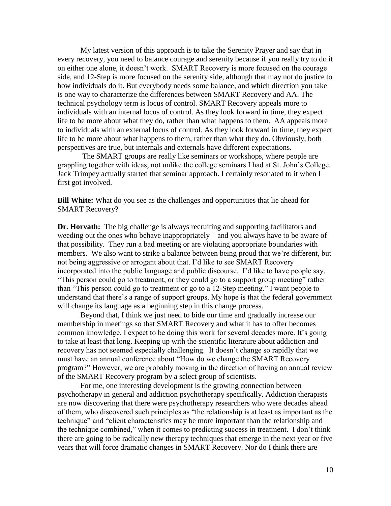My latest version of this approach is to take the Serenity Prayer and say that in every recovery, you need to balance courage and serenity because if you really try to do it on either one alone, it doesn't work. SMART Recovery is more focused on the courage side, and 12-Step is more focused on the serenity side, although that may not do justice to how individuals do it. But everybody needs some balance, and which direction you take is one way to characterize the differences between SMART Recovery and AA. The technical psychology term is locus of control. SMART Recovery appeals more to individuals with an internal locus of control. As they look forward in time, they expect life to be more about what they do, rather than what happens to them. AA appeals more to individuals with an external locus of control. As they look forward in time, they expect life to be more about what happens to them, rather than what they do. Obviously, both perspectives are true, but internals and externals have different expectations.

The SMART groups are really like seminars or workshops, where people are grappling together with ideas, not unlike the college seminars I had at St. John's College. Jack Trimpey actually started that seminar approach. I certainly resonated to it when I first got involved.

**Bill White:** What do you see as the challenges and opportunities that lie ahead for SMART Recovery?

**Dr. Horvath:** The big challenge is always recruiting and supporting facilitators and weeding out the ones who behave inappropriately—and you always have to be aware of that possibility. They run a bad meeting or are violating appropriate boundaries with members. We also want to strike a balance between being proud that we're different, but not being aggressive or arrogant about that. I'd like to see SMART Recovery incorporated into the public language and public discourse. I'd like to have people say, "This person could go to treatment, or they could go to a support group meeting" rather than "This person could go to treatment or go to a 12-Step meeting." I want people to understand that there's a range of support groups. My hope is that the federal government will change its language as a beginning step in this change process.

Beyond that, I think we just need to bide our time and gradually increase our membership in meetings so that SMART Recovery and what it has to offer becomes common knowledge. I expect to be doing this work for several decades more. It's going to take at least that long. Keeping up with the scientific literature about addiction and recovery has not seemed especially challenging. It doesn't change so rapidly that we must have an annual conference about "How do we change the SMART Recovery program?" However, we are probably moving in the direction of having an annual review of the SMART Recovery program by a select group of scientists.

For me, one interesting development is the growing connection between psychotherapy in general and addiction psychotherapy specifically. Addiction therapists are now discovering that there were psychotherapy researchers who were decades ahead of them, who discovered such principles as "the relationship is at least as important as the technique" and "client characteristics may be more important than the relationship and the technique combined," when it comes to predicting success in treatment. I don't think there are going to be radically new therapy techniques that emerge in the next year or five years that will force dramatic changes in SMART Recovery. Nor do I think there are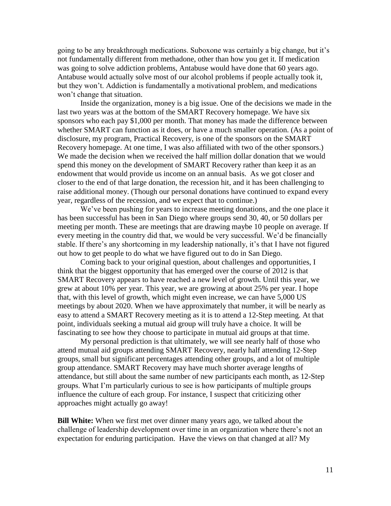going to be any breakthrough medications. Suboxone was certainly a big change, but it's not fundamentally different from methadone, other than how you get it. If medication was going to solve addiction problems, Antabuse would have done that 60 years ago. Antabuse would actually solve most of our alcohol problems if people actually took it, but they won't. Addiction is fundamentally a motivational problem, and medications won't change that situation.

Inside the organization, money is a big issue. One of the decisions we made in the last two years was at the bottom of the SMART Recovery homepage. We have six sponsors who each pay \$1,000 per month. That money has made the difference between whether SMART can function as it does, or have a much smaller operation. (As a point of disclosure, my program, Practical Recovery, is one of the sponsors on the SMART Recovery homepage. At one time, I was also affiliated with two of the other sponsors.) We made the decision when we received the half million dollar donation that we would spend this money on the development of SMART Recovery rather than keep it as an endowment that would provide us income on an annual basis. As we got closer and closer to the end of that large donation, the recession hit, and it has been challenging to raise additional money. (Though our personal donations have continued to expand every year, regardless of the recession, and we expect that to continue.)

We've been pushing for years to increase meeting donations, and the one place it has been successful has been in San Diego where groups send 30, 40, or 50 dollars per meeting per month. These are meetings that are drawing maybe 10 people on average. If every meeting in the country did that, we would be very successful. We'd be financially stable. If there's any shortcoming in my leadership nationally, it's that I have not figured out how to get people to do what we have figured out to do in San Diego.

Coming back to your original question, about challenges and opportunities, I think that the biggest opportunity that has emerged over the course of 2012 is that SMART Recovery appears to have reached a new level of growth. Until this year, we grew at about 10% per year. This year, we are growing at about 25% per year. I hope that, with this level of growth, which might even increase, we can have 5,000 US meetings by about 2020. When we have approximately that number, it will be nearly as easy to attend a SMART Recovery meeting as it is to attend a 12-Step meeting. At that point, individuals seeking a mutual aid group will truly have a choice. It will be fascinating to see how they choose to participate in mutual aid groups at that time.

My personal prediction is that ultimately, we will see nearly half of those who attend mutual aid groups attending SMART Recovery, nearly half attending 12-Step groups, small but significant percentages attending other groups, and a lot of multiple group attendance. SMART Recovery may have much shorter average lengths of attendance, but still about the same number of new participants each month, as 12-Step groups. What I'm particularly curious to see is how participants of multiple groups influence the culture of each group. For instance, I suspect that criticizing other approaches might actually go away!

**Bill White:** When we first met over dinner many years ago, we talked about the challenge of leadership development over time in an organization where there's not an expectation for enduring participation. Have the views on that changed at all? My